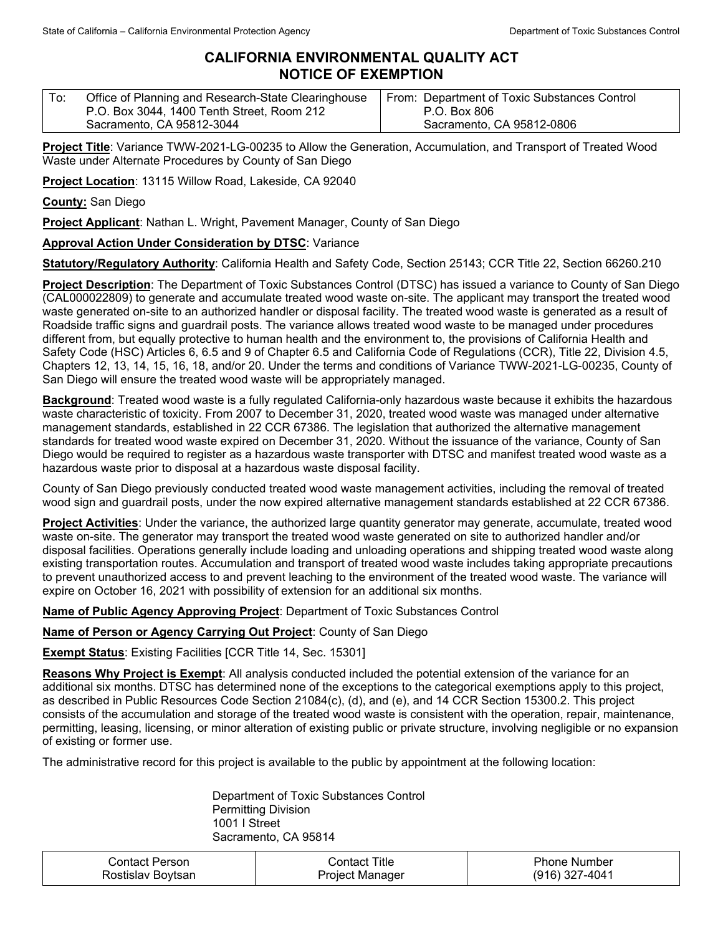## **CALIFORNIA ENVIRONMENTAL QUALITY ACT NOTICE OF EXEMPTION**

| To: | Office of Planning and Research-State Clearinghouse | From: Department of Toxic Substances Control |
|-----|-----------------------------------------------------|----------------------------------------------|
|     | P.O. Box 3044, 1400 Tenth Street, Room 212          | P.O. Box 806                                 |
|     | Sacramento, CA 95812-3044                           | Sacramento, CA 95812-0806                    |

**Project Title**: Variance TWW-2021-LG-00235 to Allow the Generation, Accumulation, and Transport of Treated Wood Waste under Alternate Procedures by County of San Diego

**Project Location**: 13115 Willow Road, Lakeside, CA 92040

**County:** San Diego

**Project Applicant**: Nathan L. Wright, Pavement Manager, County of San Diego

## **Approval Action Under Consideration by DTSC**: Variance

**Statutory/Regulatory Authority**: California Health and Safety Code, Section 25143; CCR Title 22, Section 66260.210

**Project Description**: The Department of Toxic Substances Control (DTSC) has issued a variance to County of San Diego (CAL000022809) to generate and accumulate treated wood waste on-site. The applicant may transport the treated wood waste generated on-site to an authorized handler or disposal facility. The treated wood waste is generated as a result of Roadside traffic signs and guardrail posts. The variance allows treated wood waste to be managed under procedures different from, but equally protective to human health and the environment to, the provisions of California Health and Safety Code (HSC) Articles 6, 6.5 and 9 of Chapter 6.5 and California Code of Regulations (CCR), Title 22, Division 4.5, Chapters 12, 13, 14, 15, 16, 18, and/or 20. Under the terms and conditions of Variance TWW-2021-LG-00235, County of San Diego will ensure the treated wood waste will be appropriately managed.

**Background**: Treated wood waste is a fully regulated California-only hazardous waste because it exhibits the hazardous waste characteristic of toxicity. From 2007 to December 31, 2020, treated wood waste was managed under alternative management standards, established in 22 CCR 67386. The legislation that authorized the alternative management standards for treated wood waste expired on December 31, 2020. Without the issuance of the variance, County of San Diego would be required to register as a hazardous waste transporter with DTSC and manifest treated wood waste as a hazardous waste prior to disposal at a hazardous waste disposal facility.

County of San Diego previously conducted treated wood waste management activities, including the removal of treated wood sign and guardrail posts, under the now expired alternative management standards established at 22 CCR 67386.

**Project Activities**: Under the variance, the authorized large quantity generator may generate, accumulate, treated wood waste on-site. The generator may transport the treated wood waste generated on site to authorized handler and/or disposal facilities. Operations generally include loading and unloading operations and shipping treated wood waste along existing transportation routes. Accumulation and transport of treated wood waste includes taking appropriate precautions to prevent unauthorized access to and prevent leaching to the environment of the treated wood waste. The variance will expire on October 16, 2021 with possibility of extension for an additional six months.

**Name of Public Agency Approving Project**: Department of Toxic Substances Control

**Name of Person or Agency Carrying Out Project**: County of San Diego

**Exempt Status**: Existing Facilities [CCR Title 14, Sec. 15301]

**Reasons Why Project is Exempt**: All analysis conducted included the potential extension of the variance for an additional six months. DTSC has determined none of the exceptions to the categorical exemptions apply to this project, as described in Public Resources Code Section 21084(c), (d), and (e), and 14 CCR Section 15300.2. This project consists of the accumulation and storage of the treated wood waste is consistent with the operation, repair, maintenance, permitting, leasing, licensing, or minor alteration of existing public or private structure, involving negligible or no expansion of existing or former use.

The administrative record for this project is available to the public by appointment at the following location:

Department of Toxic Substances Control Permitting Division 1001 I Street Sacramento, CA 95814

| Contact Person.   | <b>∂ontact Title</b> | <b>Phone Number</b> |
|-------------------|----------------------|---------------------|
| Rostislav Bovtsan | Project Manager      | (916) 327-4041      |